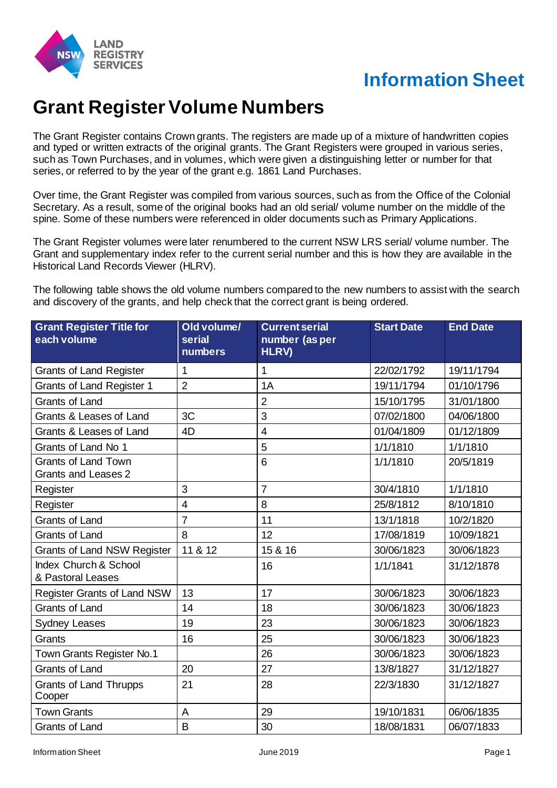

## **Information Sheet**

## **Grant Register Volume Numbers**

The Grant Register contains Crown grants. The registers are made up of a mixture of handwritten copies and typed or written extracts of the original grants. The Grant Registers were grouped in various series, such as Town Purchases, and in volumes, which were given a distinguishing letter or number for that series, or referred to by the year of the grant e.g. 1861 Land Purchases.

Over time, the Grant Register was compiled from various sources, such as from the Office of the Colonial Secretary. As a result, some of the original books had an old serial/ volume number on the middle of the spine. Some of these numbers were referenced in older documents such as Primary Applications.

The Grant Register volumes were later renumbered to the current NSW LRS serial/ volume number. The Grant and supplementary index refer to the current serial number and this is how they are available in the Historical Land Records Viewer (HLRV).

The following table shows the old volume numbers compared to the new numbers to assist with the search and discovery of the grants, and help check that the correct grant is being ordered.

| <b>Grant Register Title for</b><br>each volume           | Old volume/<br>serial<br>numbers | <b>Current serial</b><br>number (as per<br><b>HLRV)</b> | <b>Start Date</b> | <b>End Date</b> |
|----------------------------------------------------------|----------------------------------|---------------------------------------------------------|-------------------|-----------------|
| <b>Grants of Land Register</b>                           | 1                                | $\mathbf 1$                                             | 22/02/1792        | 19/11/1794      |
| Grants of Land Register 1                                | $\overline{2}$                   | 1A                                                      | 19/11/1794        | 01/10/1796      |
| <b>Grants of Land</b>                                    |                                  | $\overline{2}$                                          | 15/10/1795        | 31/01/1800      |
| Grants & Leases of Land                                  | 3C                               | 3                                                       | 07/02/1800        | 04/06/1800      |
| Grants & Leases of Land                                  | 4D                               | $\overline{4}$                                          | 01/04/1809        | 01/12/1809      |
| Grants of Land No 1                                      |                                  | 5                                                       | 1/1/1810          | 1/1/1810        |
| <b>Grants of Land Town</b><br><b>Grants and Leases 2</b> |                                  | 6                                                       | 1/1/1810          | 20/5/1819       |
| Register                                                 | 3                                | $\overline{7}$                                          | 30/4/1810         | 1/1/1810        |
| Register                                                 | $\overline{4}$                   | 8                                                       | 25/8/1812         | 8/10/1810       |
| <b>Grants of Land</b>                                    | $\overline{7}$                   | 11                                                      | 13/1/1818         | 10/2/1820       |
| <b>Grants of Land</b>                                    | 8                                | 12                                                      | 17/08/1819        | 10/09/1821      |
| <b>Grants of Land NSW Register</b>                       | 11 & 12                          | 15 & 16                                                 | 30/06/1823        | 30/06/1823      |
| Index Church & School<br>& Pastoral Leases               |                                  | 16                                                      | 1/1/1841          | 31/12/1878      |
| <b>Register Grants of Land NSW</b>                       | 13                               | 17                                                      | 30/06/1823        | 30/06/1823      |
| <b>Grants of Land</b>                                    | 14                               | 18                                                      | 30/06/1823        | 30/06/1823      |
| <b>Sydney Leases</b>                                     | 19                               | 23                                                      | 30/06/1823        | 30/06/1823      |
| Grants                                                   | 16                               | 25                                                      | 30/06/1823        | 30/06/1823      |
| Town Grants Register No.1                                |                                  | 26                                                      | 30/06/1823        | 30/06/1823      |
| <b>Grants of Land</b>                                    | 20                               | 27                                                      | 13/8/1827         | 31/12/1827      |
| <b>Grants of Land Thrupps</b><br>Cooper                  | 21                               | 28                                                      | 22/3/1830         | 31/12/1827      |
| <b>Town Grants</b>                                       | A                                | 29                                                      | 19/10/1831        | 06/06/1835      |
| Grants of Land                                           | B                                | 30                                                      | 18/08/1831        | 06/07/1833      |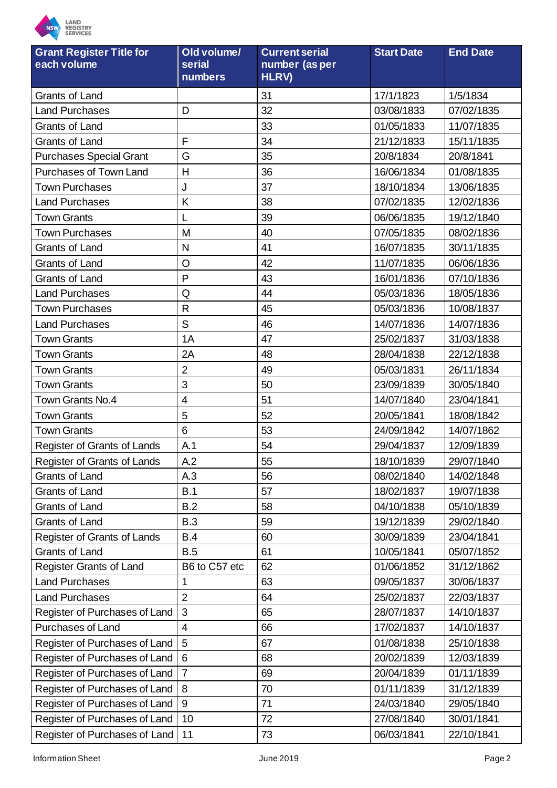

| if Danietar Titla for              |  |
|------------------------------------|--|
| <b>REGISTRY</b><br><b>SERVICES</b> |  |

| <b>Grant Register Title for</b><br>each volume | Old volume/<br>serial<br>numbers | <b>Current serial</b><br>number (as per<br>HLRV) | <b>Start Date</b> | <b>End Date</b> |
|------------------------------------------------|----------------------------------|--------------------------------------------------|-------------------|-----------------|
| <b>Grants of Land</b>                          |                                  | 31                                               | 17/1/1823         | 1/5/1834        |
| <b>Land Purchases</b>                          | D                                | 32                                               | 03/08/1833        | 07/02/1835      |
| Grants of Land                                 |                                  | 33                                               | 01/05/1833        | 11/07/1835      |
| <b>Grants of Land</b>                          | F                                | 34                                               | 21/12/1833        | 15/11/1835      |
| <b>Purchases Special Grant</b>                 | G                                | 35                                               | 20/8/1834         | 20/8/1841       |
| Purchases of Town Land                         | Н                                | 36                                               | 16/06/1834        | 01/08/1835      |
| <b>Town Purchases</b>                          | J                                | 37                                               | 18/10/1834        | 13/06/1835      |
| <b>Land Purchases</b>                          | K                                | 38                                               | 07/02/1835        | 12/02/1836      |
| <b>Town Grants</b>                             |                                  | 39                                               | 06/06/1835        | 19/12/1840      |
| Town Purchases                                 | M                                | 40                                               | 07/05/1835        | 08/02/1836      |
| <b>Grants of Land</b>                          | $\mathsf{N}$                     | 41                                               | 16/07/1835        | 30/11/1835      |
| <b>Grants of Land</b>                          | O                                | 42                                               | 11/07/1835        | 06/06/1836      |
| Grants of Land                                 | P                                | 43                                               | 16/01/1836        | 07/10/1836      |
| <b>Land Purchases</b>                          | Q                                | 44                                               | 05/03/1836        | 18/05/1836      |
| <b>Town Purchases</b>                          | $\mathsf{R}$                     | 45                                               | 05/03/1836        | 10/08/1837      |
| <b>Land Purchases</b>                          | S                                | 46                                               | 14/07/1836        | 14/07/1836      |
| <b>Town Grants</b>                             | 1A                               | 47                                               | 25/02/1837        | 31/03/1838      |
| <b>Town Grants</b>                             | 2A                               | 48                                               | 28/04/1838        | 22/12/1838      |
| <b>Town Grants</b>                             | $\overline{2}$                   | 49                                               | 05/03/1831        | 26/11/1834      |
| <b>Town Grants</b>                             | 3                                | 50                                               | 23/09/1839        | 30/05/1840      |
| Town Grants No.4                               | $\overline{4}$                   | 51                                               | 14/07/1840        | 23/04/1841      |
| <b>Town Grants</b>                             | 5                                | 52                                               | 20/05/1841        | 18/08/1842      |
| <b>Town Grants</b>                             | 6                                | 53                                               | 24/09/1842        | 14/07/1862      |
| Register of Grants of Lands                    | A.1                              | 54                                               | 29/04/1837        | 12/09/1839      |
| <b>Register of Grants of Lands</b>             | A.2                              | 55                                               | 18/10/1839        | 29/07/1840      |
| Grants of Land                                 | A.3                              | 56                                               | 08/02/1840        | 14/02/1848      |
| Grants of Land                                 | B.1                              | 57                                               | 18/02/1837        | 19/07/1838      |
| Grants of Land                                 | B.2                              | 58                                               | 04/10/1838        | 05/10/1839      |
| Grants of Land                                 | <b>B.3</b>                       | 59                                               | 19/12/1839        | 29/02/1840      |
| Register of Grants of Lands                    | <b>B.4</b>                       | 60                                               | 30/09/1839        | 23/04/1841      |
| <b>Grants of Land</b>                          | B.5                              | 61                                               | 10/05/1841        | 05/07/1852      |
| Register Grants of Land                        | B6 to C57 etc                    | 62                                               | 01/06/1852        | 31/12/1862      |
| <b>Land Purchases</b>                          | 1                                | 63                                               | 09/05/1837        | 30/06/1837      |
| <b>Land Purchases</b>                          | $\overline{2}$                   | 64                                               | 25/02/1837        | 22/03/1837      |
| Register of Purchases of Land                  | 3                                | 65                                               | 28/07/1837        | 14/10/1837      |
| Purchases of Land                              | $\overline{4}$                   | 66                                               | 17/02/1837        | 14/10/1837      |
| Register of Purchases of Land                  | 5                                | 67                                               | 01/08/1838        | 25/10/1838      |
| Register of Purchases of Land                  | 6                                | 68                                               | 20/02/1839        | 12/03/1839      |
| Register of Purchases of Land                  | $\overline{7}$                   | 69                                               | 20/04/1839        | 01/11/1839      |
| Register of Purchases of Land                  | 8                                | 70                                               | 01/11/1839        | 31/12/1839      |
| Register of Purchases of Land                  | $\boldsymbol{9}$                 | 71                                               | 24/03/1840        | 29/05/1840      |
| Register of Purchases of Land                  | 10                               | 72                                               | 27/08/1840        | 30/01/1841      |
| Register of Purchases of Land                  | 11                               | 73                                               | 06/03/1841        | 22/10/1841      |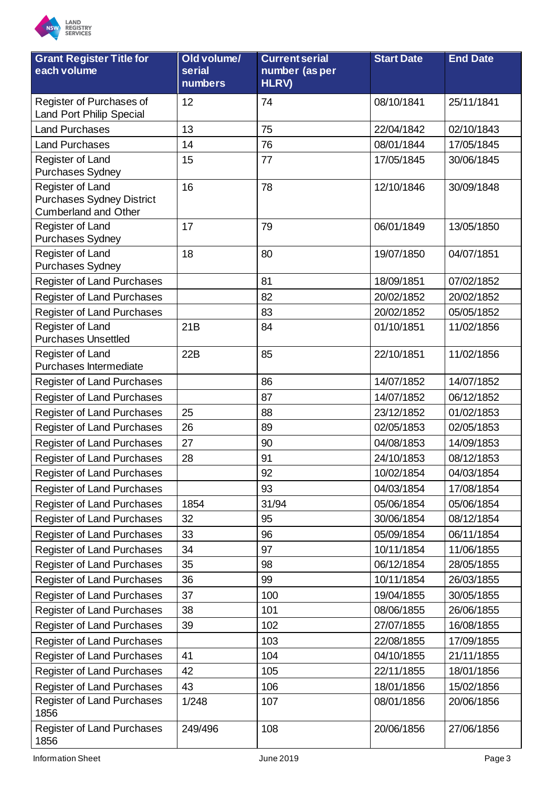

| <b>Grant Register Title for</b><br>each volume                                      | Old volume/<br>serial<br>numbers | <b>Current serial</b><br>number (as per<br><b>HLRV)</b> | <b>Start Date</b> | <b>End Date</b> |
|-------------------------------------------------------------------------------------|----------------------------------|---------------------------------------------------------|-------------------|-----------------|
| Register of Purchases of<br><b>Land Port Philip Special</b>                         | 12                               | 74                                                      | 08/10/1841        | 25/11/1841      |
| <b>Land Purchases</b>                                                               | 13                               | 75                                                      | 22/04/1842        | 02/10/1843      |
| <b>Land Purchases</b>                                                               | 14                               | 76                                                      | 08/01/1844        | 17/05/1845      |
| Register of Land<br><b>Purchases Sydney</b>                                         | 15                               | 77                                                      | 17/05/1845        | 30/06/1845      |
| Register of Land<br><b>Purchases Sydney District</b><br><b>Cumberland and Other</b> | 16                               | 78                                                      | 12/10/1846        | 30/09/1848      |
| Register of Land<br><b>Purchases Sydney</b>                                         | 17                               | 79                                                      | 06/01/1849        | 13/05/1850      |
| Register of Land<br><b>Purchases Sydney</b>                                         | 18                               | 80                                                      | 19/07/1850        | 04/07/1851      |
| <b>Register of Land Purchases</b>                                                   |                                  | 81                                                      | 18/09/1851        | 07/02/1852      |
| <b>Register of Land Purchases</b>                                                   |                                  | 82                                                      | 20/02/1852        | 20/02/1852      |
| <b>Register of Land Purchases</b>                                                   |                                  | 83                                                      | 20/02/1852        | 05/05/1852      |
| Register of Land<br><b>Purchases Unsettled</b>                                      | 21B                              | 84                                                      | 01/10/1851        | 11/02/1856      |
| Register of Land<br>Purchases Intermediate                                          | 22B                              | 85                                                      | 22/10/1851        | 11/02/1856      |
| <b>Register of Land Purchases</b>                                                   |                                  | 86                                                      | 14/07/1852        | 14/07/1852      |
| <b>Register of Land Purchases</b>                                                   |                                  | 87                                                      | 14/07/1852        | 06/12/1852      |
| <b>Register of Land Purchases</b>                                                   | 25                               | 88                                                      | 23/12/1852        | 01/02/1853      |
| <b>Register of Land Purchases</b>                                                   | 26                               | 89                                                      | 02/05/1853        | 02/05/1853      |
| Register of Land Purchases                                                          | 27                               | 90                                                      | 04/08/1853        | 14/09/1853      |
| <b>Register of Land Purchases</b>                                                   | 28                               | 91                                                      | 24/10/1853        | 08/12/1853      |
| <b>Register of Land Purchases</b>                                                   |                                  | 92                                                      | 10/02/1854        | 04/03/1854      |
| <b>Register of Land Purchases</b>                                                   |                                  | 93                                                      | 04/03/1854        | 17/08/1854      |
| <b>Register of Land Purchases</b>                                                   | 1854                             | 31/94                                                   | 05/06/1854        | 05/06/1854      |
| <b>Register of Land Purchases</b>                                                   | 32                               | 95                                                      | 30/06/1854        | 08/12/1854      |
| <b>Register of Land Purchases</b>                                                   | 33                               | 96                                                      | 05/09/1854        | 06/11/1854      |
| Register of Land Purchases                                                          | 34                               | 97                                                      | 10/11/1854        | 11/06/1855      |
| Register of Land Purchases                                                          | 35                               | 98                                                      | 06/12/1854        | 28/05/1855      |
| <b>Register of Land Purchases</b>                                                   | 36                               | 99                                                      | 10/11/1854        | 26/03/1855      |
| <b>Register of Land Purchases</b>                                                   | 37                               | 100                                                     | 19/04/1855        | 30/05/1855      |
| <b>Register of Land Purchases</b>                                                   | 38                               | 101                                                     | 08/06/1855        | 26/06/1855      |
| <b>Register of Land Purchases</b>                                                   | 39                               | 102                                                     | 27/07/1855        | 16/08/1855      |
| <b>Register of Land Purchases</b>                                                   |                                  | 103                                                     | 22/08/1855        | 17/09/1855      |
| <b>Register of Land Purchases</b>                                                   | 41                               | 104                                                     | 04/10/1855        | 21/11/1855      |
| <b>Register of Land Purchases</b>                                                   | 42                               | 105                                                     | 22/11/1855        | 18/01/1856      |
| <b>Register of Land Purchases</b>                                                   | 43                               | 106                                                     | 18/01/1856        | 15/02/1856      |
| <b>Register of Land Purchases</b><br>1856                                           | 1/248                            | 107                                                     | 08/01/1856        | 20/06/1856      |
| Register of Land Purchases<br>1856                                                  | 249/496                          | 108                                                     | 20/06/1856        | 27/06/1856      |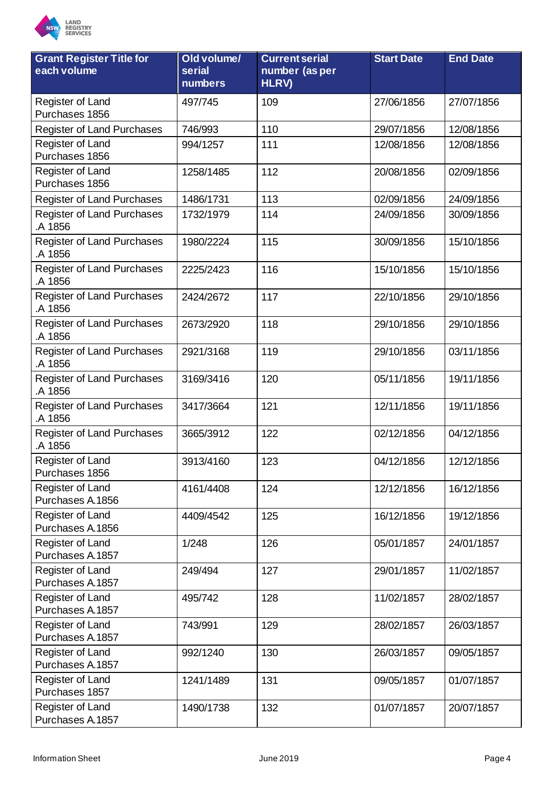

| <b>Grant Register Title for</b><br>each volume | Old volume/<br>serial<br>numbers | <b>Current serial</b><br>number (as per<br>HLRV) | <b>Start Date</b> | <b>End Date</b> |
|------------------------------------------------|----------------------------------|--------------------------------------------------|-------------------|-----------------|
| Register of Land<br>Purchases 1856             | 497/745                          | 109                                              | 27/06/1856        | 27/07/1856      |
| <b>Register of Land Purchases</b>              | 746/993                          | 110                                              | 29/07/1856        | 12/08/1856      |
| Register of Land<br>Purchases 1856             | 994/1257                         | 111                                              | 12/08/1856        | 12/08/1856      |
| Register of Land<br>Purchases 1856             | 1258/1485                        | 112                                              | 20/08/1856        | 02/09/1856      |
| Register of Land Purchases                     | 1486/1731                        | 113                                              | 02/09/1856        | 24/09/1856      |
| Register of Land Purchases<br>A 1856           | 1732/1979                        | 114                                              | 24/09/1856        | 30/09/1856      |
| <b>Register of Land Purchases</b><br>A 1856    | 1980/2224                        | 115                                              | 30/09/1856        | 15/10/1856      |
| <b>Register of Land Purchases</b><br>A 1856    | 2225/2423                        | 116                                              | 15/10/1856        | 15/10/1856      |
| <b>Register of Land Purchases</b><br>A 1856    | 2424/2672                        | 117                                              | 22/10/1856        | 29/10/1856      |
| <b>Register of Land Purchases</b><br>A 1856    | 2673/2920                        | 118                                              | 29/10/1856        | 29/10/1856      |
| <b>Register of Land Purchases</b><br>A 1856    | 2921/3168                        | 119                                              | 29/10/1856        | 03/11/1856      |
| Register of Land Purchases<br>A 1856           | 3169/3416                        | 120                                              | 05/11/1856        | 19/11/1856      |
| <b>Register of Land Purchases</b><br>A 1856    | 3417/3664                        | 121                                              | 12/11/1856        | 19/11/1856      |
| <b>Register of Land Purchases</b><br>A 1856    | 3665/3912                        | 122                                              | 02/12/1856        | 04/12/1856      |
| Register of Land<br>Purchases 1856             | 3913/4160                        | 123                                              | 04/12/1856        | 12/12/1856      |
| Register of Land<br>Purchases A.1856           | 4161/4408                        | 124                                              | 12/12/1856        | 16/12/1856      |
| Register of Land<br>Purchases A.1856           | 4409/4542                        | 125                                              | 16/12/1856        | 19/12/1856      |
| Register of Land<br>Purchases A.1857           | 1/248                            | 126                                              | 05/01/1857        | 24/01/1857      |
| Register of Land<br>Purchases A.1857           | 249/494                          | 127                                              | 29/01/1857        | 11/02/1857      |
| Register of Land<br>Purchases A.1857           | 495/742                          | 128                                              | 11/02/1857        | 28/02/1857      |
| Register of Land<br>Purchases A.1857           | 743/991                          | 129                                              | 28/02/1857        | 26/03/1857      |
| Register of Land<br>Purchases A.1857           | 992/1240                         | 130                                              | 26/03/1857        | 09/05/1857      |
| Register of Land<br>Purchases 1857             | 1241/1489                        | 131                                              | 09/05/1857        | 01/07/1857      |
| Register of Land<br>Purchases A.1857           | 1490/1738                        | 132                                              | 01/07/1857        | 20/07/1857      |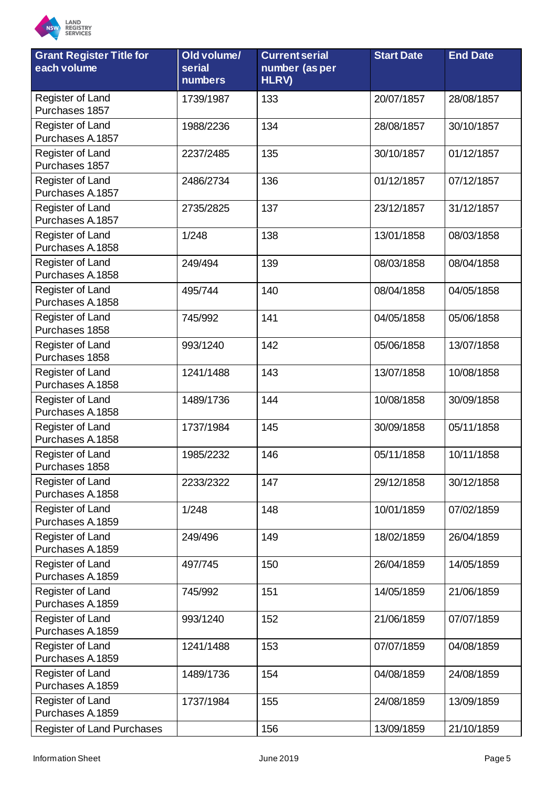

| <b>Grant Register Title for</b><br>each volume | Old volume/<br>serial | <b>Current serial</b><br>number (as per | <b>Start Date</b> | <b>End Date</b> |
|------------------------------------------------|-----------------------|-----------------------------------------|-------------------|-----------------|
|                                                | <b>numbers</b>        | HLRV)                                   |                   |                 |
| Register of Land<br>Purchases 1857             | 1739/1987             | 133                                     | 20/07/1857        | 28/08/1857      |
| Register of Land<br>Purchases A.1857           | 1988/2236             | 134                                     | 28/08/1857        | 30/10/1857      |
| Register of Land<br>Purchases 1857             | 2237/2485             | 135                                     | 30/10/1857        | 01/12/1857      |
| Register of Land<br>Purchases A.1857           | 2486/2734             | 136                                     | 01/12/1857        | 07/12/1857      |
| Register of Land<br>Purchases A.1857           | 2735/2825             | 137                                     | 23/12/1857        | 31/12/1857      |
| Register of Land<br>Purchases A.1858           | 1/248                 | 138                                     | 13/01/1858        | 08/03/1858      |
| Register of Land<br>Purchases A.1858           | 249/494               | 139                                     | 08/03/1858        | 08/04/1858      |
| Register of Land<br>Purchases A.1858           | 495/744               | 140                                     | 08/04/1858        | 04/05/1858      |
| Register of Land<br>Purchases 1858             | 745/992               | 141                                     | 04/05/1858        | 05/06/1858      |
| Register of Land<br>Purchases 1858             | 993/1240              | 142                                     | 05/06/1858        | 13/07/1858      |
| Register of Land<br>Purchases A.1858           | 1241/1488             | 143                                     | 13/07/1858        | 10/08/1858      |
| Register of Land<br>Purchases A.1858           | 1489/1736             | 144                                     | 10/08/1858        | 30/09/1858      |
| Register of Land<br>Purchases A.1858           | 1737/1984             | 145                                     | 30/09/1858        | 05/11/1858      |
| Register of Land<br>Purchases 1858             | 1985/2232             | 146                                     | 05/11/1858        | 10/11/1858      |
| Register of Land<br>Purchases A.1858           | 2233/2322             | 147                                     | 29/12/1858        | 30/12/1858      |
| Register of Land<br>Purchases A.1859           | 1/248                 | 148                                     | 10/01/1859        | 07/02/1859      |
| Register of Land<br>Purchases A.1859           | 249/496               | 149                                     | 18/02/1859        | 26/04/1859      |
| Register of Land<br>Purchases A.1859           | 497/745               | 150                                     | 26/04/1859        | 14/05/1859      |
| Register of Land<br>Purchases A.1859           | 745/992               | 151                                     | 14/05/1859        | 21/06/1859      |
| Register of Land<br>Purchases A.1859           | 993/1240              | 152                                     | 21/06/1859        | 07/07/1859      |
| Register of Land<br>Purchases A.1859           | 1241/1488             | 153                                     | 07/07/1859        | 04/08/1859      |
| Register of Land<br>Purchases A.1859           | 1489/1736             | 154                                     | 04/08/1859        | 24/08/1859      |
| Register of Land<br>Purchases A.1859           | 1737/1984             | 155                                     | 24/08/1859        | 13/09/1859      |
| <b>Register of Land Purchases</b>              |                       | 156                                     | 13/09/1859        | 21/10/1859      |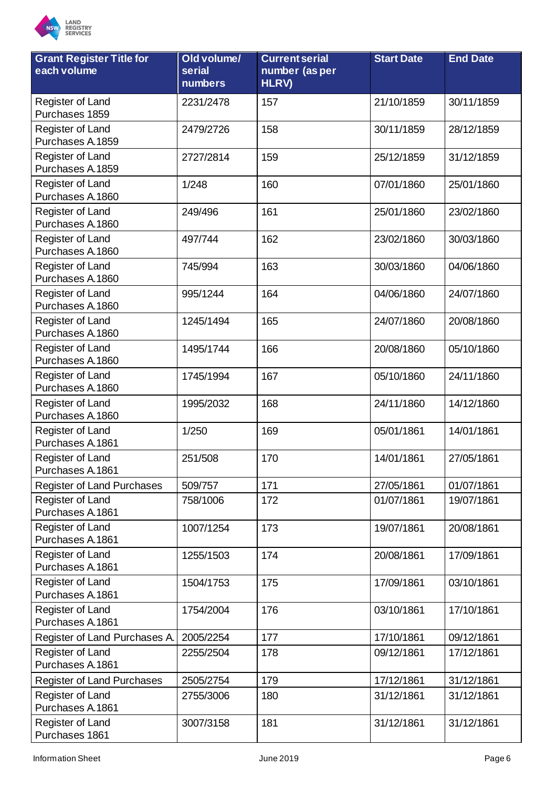

| <b>Grant Register Title for</b><br>each volume | Old volume/<br>serial<br>numbers | <b>Current serial</b><br>number (as per<br>HLRV) | <b>Start Date</b> | <b>End Date</b> |
|------------------------------------------------|----------------------------------|--------------------------------------------------|-------------------|-----------------|
| Register of Land<br>Purchases 1859             | 2231/2478                        | 157                                              | 21/10/1859        | 30/11/1859      |
| Register of Land<br>Purchases A.1859           | 2479/2726                        | 158                                              | 30/11/1859        | 28/12/1859      |
| Register of Land<br>Purchases A.1859           | 2727/2814                        | 159                                              | 25/12/1859        | 31/12/1859      |
| Register of Land<br>Purchases A.1860           | 1/248                            | 160                                              | 07/01/1860        | 25/01/1860      |
| Register of Land<br>Purchases A.1860           | 249/496                          | 161                                              | 25/01/1860        | 23/02/1860      |
| Register of Land<br>Purchases A.1860           | 497/744                          | 162                                              | 23/02/1860        | 30/03/1860      |
| Register of Land<br>Purchases A.1860           | 745/994                          | 163                                              | 30/03/1860        | 04/06/1860      |
| Register of Land<br>Purchases A.1860           | 995/1244                         | 164                                              | 04/06/1860        | 24/07/1860      |
| Register of Land<br>Purchases A.1860           | 1245/1494                        | 165                                              | 24/07/1860        | 20/08/1860      |
| Register of Land<br>Purchases A.1860           | 1495/1744                        | 166                                              | 20/08/1860        | 05/10/1860      |
| Register of Land<br>Purchases A.1860           | 1745/1994                        | 167                                              | 05/10/1860        | 24/11/1860      |
| Register of Land<br>Purchases A.1860           | 1995/2032                        | 168                                              | 24/11/1860        | 14/12/1860      |
| Register of Land<br>Purchases A.1861           | 1/250                            | 169                                              | 05/01/1861        | 14/01/1861      |
| Register of Land<br>Purchases A.1861           | 251/508                          | 170                                              | 14/01/1861        | 27/05/1861      |
| Register of Land Purchases                     | 509/757                          | 171                                              | 27/05/1861        | 01/07/1861      |
| Register of Land<br>Purchases A.1861           | 758/1006                         | 172                                              | 01/07/1861        | 19/07/1861      |
| Register of Land<br>Purchases A.1861           | 1007/1254                        | 173                                              | 19/07/1861        | 20/08/1861      |
| Register of Land<br>Purchases A.1861           | 1255/1503                        | 174                                              | 20/08/1861        | 17/09/1861      |
| Register of Land<br>Purchases A.1861           | 1504/1753                        | 175                                              | 17/09/1861        | 03/10/1861      |
| Register of Land<br>Purchases A.1861           | 1754/2004                        | 176                                              | 03/10/1861        | 17/10/1861      |
| Register of Land Purchases A.                  | 2005/2254                        | 177                                              | 17/10/1861        | 09/12/1861      |
| Register of Land<br>Purchases A.1861           | 2255/2504                        | 178                                              | 09/12/1861        | 17/12/1861      |
| <b>Register of Land Purchases</b>              | 2505/2754                        | 179                                              | 17/12/1861        | 31/12/1861      |
| Register of Land<br>Purchases A.1861           | 2755/3006                        | 180                                              | 31/12/1861        | 31/12/1861      |
| Register of Land<br>Purchases 1861             | 3007/3158                        | 181                                              | 31/12/1861        | 31/12/1861      |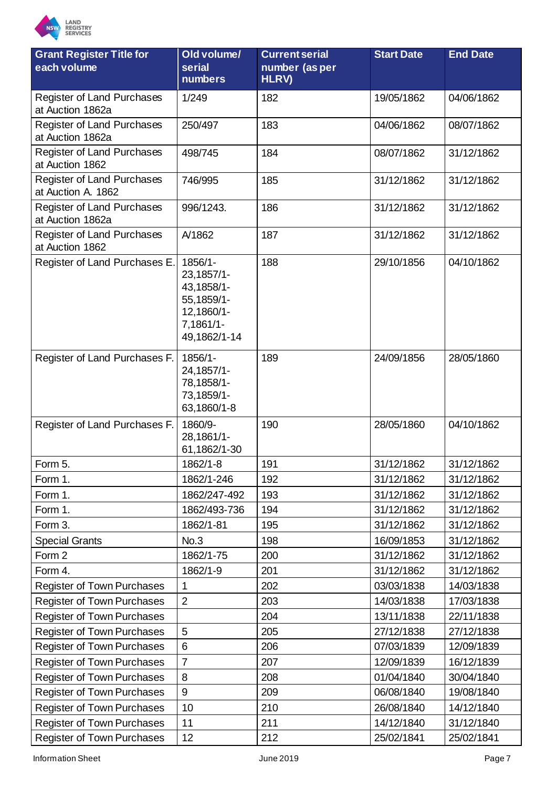

| <b>Grant Register Title for</b><br>each volume   | Old volume/<br>serial<br>numbers                                                             | <b>Current serial</b><br>number (as per<br>HLRV) | <b>Start Date</b> | <b>End Date</b> |
|--------------------------------------------------|----------------------------------------------------------------------------------------------|--------------------------------------------------|-------------------|-----------------|
| Register of Land Purchases                       | 1/249                                                                                        | 182                                              | 19/05/1862        | 04/06/1862      |
| at Auction 1862a                                 |                                                                                              |                                                  |                   |                 |
| Register of Land Purchases<br>at Auction 1862a   | 250/497                                                                                      | 183                                              | 04/06/1862        | 08/07/1862      |
| Register of Land Purchases<br>at Auction 1862    | 498/745                                                                                      | 184                                              | 08/07/1862        | 31/12/1862      |
| Register of Land Purchases<br>at Auction A. 1862 | 746/995                                                                                      | 185                                              | 31/12/1862        | 31/12/1862      |
| Register of Land Purchases<br>at Auction 1862a   | 996/1243.                                                                                    | 186                                              | 31/12/1862        | 31/12/1862      |
| Register of Land Purchases<br>at Auction 1862    | A/1862                                                                                       | 187                                              | 31/12/1862        | 31/12/1862      |
| Register of Land Purchases E.                    | 1856/1-<br>23,1857/1-<br>43,1858/1-<br>55,1859/1-<br>12,1860/1-<br>7,1861/1-<br>49,1862/1-14 | 188                                              | 29/10/1856        | 04/10/1862      |
| Register of Land Purchases F.                    | 1856/1-<br>24,1857/1-<br>78,1858/1-<br>73,1859/1-<br>63,1860/1-8                             | 189                                              | 24/09/1856        | 28/05/1860      |
| Register of Land Purchases F.                    | 1860/9-<br>28,1861/1-<br>61,1862/1-30                                                        | 190                                              | 28/05/1860        | 04/10/1862      |
| Form 5.                                          | 1862/1-8                                                                                     | 191                                              | 31/12/1862        | 31/12/1862      |
| Form 1.                                          | 1862/1-246                                                                                   | 192                                              | 31/12/1862        | 31/12/1862      |
| Form 1.                                          | 1862/247-492                                                                                 | 193                                              | 31/12/1862        | 31/12/1862      |
| Form 1.                                          | 1862/493-736                                                                                 | 194                                              | 31/12/1862        | 31/12/1862      |
| Form 3.                                          | 1862/1-81                                                                                    | 195                                              | 31/12/1862        | 31/12/1862      |
| <b>Special Grants</b>                            | No.3                                                                                         | 198                                              | 16/09/1853        | 31/12/1862      |
| Form 2                                           | 1862/1-75                                                                                    | 200                                              | 31/12/1862        | 31/12/1862      |
| Form 4.                                          | 1862/1-9                                                                                     | 201                                              | 31/12/1862        | 31/12/1862      |
| <b>Register of Town Purchases</b>                | $\mathbf 1$                                                                                  | 202                                              | 03/03/1838        | 14/03/1838      |
| Register of Town Purchases                       | $\overline{2}$                                                                               | 203                                              | 14/03/1838        | 17/03/1838      |
| <b>Register of Town Purchases</b>                |                                                                                              | 204                                              | 13/11/1838        | 22/11/1838      |
| <b>Register of Town Purchases</b>                | 5                                                                                            | 205                                              | 27/12/1838        | 27/12/1838      |
| <b>Register of Town Purchases</b>                | 6                                                                                            | 206                                              | 07/03/1839        | 12/09/1839      |
| <b>Register of Town Purchases</b>                | $\overline{7}$                                                                               | 207                                              | 12/09/1839        | 16/12/1839      |
| <b>Register of Town Purchases</b>                | 8                                                                                            | 208                                              | 01/04/1840        | 30/04/1840      |
| Register of Town Purchases                       | 9                                                                                            | 209                                              | 06/08/1840        | 19/08/1840      |
| <b>Register of Town Purchases</b>                | 10                                                                                           | 210                                              | 26/08/1840        | 14/12/1840      |
| <b>Register of Town Purchases</b>                | 11                                                                                           | 211                                              | 14/12/1840        | 31/12/1840      |
| <b>Register of Town Purchases</b>                | 12                                                                                           | 212                                              | 25/02/1841        | 25/02/1841      |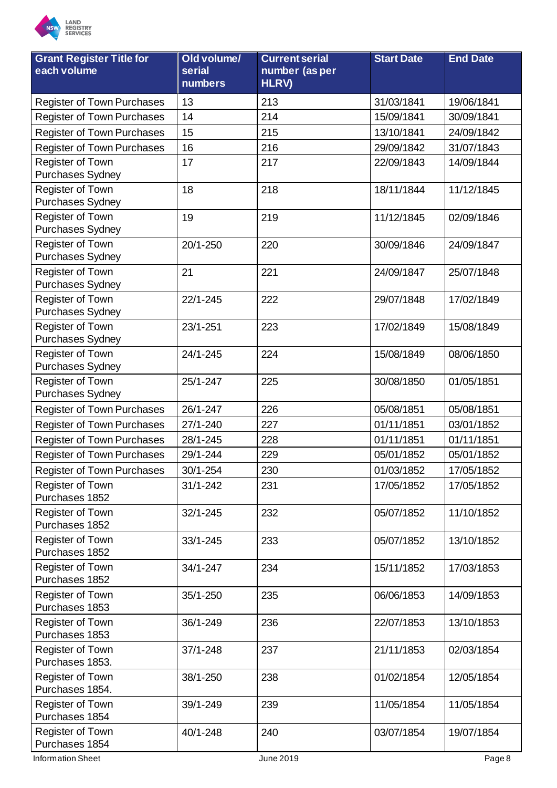

| <b>Grant Register Title for</b><br>each volume | Old volume/<br>serial<br>numbers | <b>Current serial</b><br>number (as per<br><b>HLRV)</b> | <b>Start Date</b> | <b>End Date</b> |
|------------------------------------------------|----------------------------------|---------------------------------------------------------|-------------------|-----------------|
| <b>Register of Town Purchases</b>              | 13                               | 213                                                     | 31/03/1841        | 19/06/1841      |
| <b>Register of Town Purchases</b>              | 14                               | 214                                                     | 15/09/1841        | 30/09/1841      |
| <b>Register of Town Purchases</b>              | 15                               | 215                                                     | 13/10/1841        | 24/09/1842      |
| <b>Register of Town Purchases</b>              | 16                               | 216                                                     | 29/09/1842        | 31/07/1843      |
| Register of Town                               | 17                               | 217                                                     | 22/09/1843        | 14/09/1844      |
| <b>Purchases Sydney</b>                        |                                  |                                                         |                   |                 |
| Register of Town                               | 18                               | 218                                                     | 18/11/1844        | 11/12/1845      |
| <b>Purchases Sydney</b>                        |                                  |                                                         |                   |                 |
| Register of Town                               | 19                               | 219                                                     | 11/12/1845        | 02/09/1846      |
| Purchases Sydney                               |                                  |                                                         |                   |                 |
| Register of Town<br><b>Purchases Sydney</b>    | 20/1-250                         | 220                                                     | 30/09/1846        | 24/09/1847      |
| Register of Town                               | 21                               | 221                                                     | 24/09/1847        | 25/07/1848      |
| <b>Purchases Sydney</b>                        |                                  |                                                         |                   |                 |
| Register of Town                               | $22/1 - 245$                     | 222                                                     | 29/07/1848        | 17/02/1849      |
| <b>Purchases Sydney</b>                        |                                  |                                                         |                   |                 |
| Register of Town<br>Purchases Sydney           | 23/1-251                         | 223                                                     | 17/02/1849        | 15/08/1849      |
| Register of Town                               | 24/1-245                         | 224                                                     | 15/08/1849        | 08/06/1850      |
| Purchases Sydney                               |                                  |                                                         |                   |                 |
| Register of Town                               | 25/1-247                         | 225                                                     | 30/08/1850        | 01/05/1851      |
| Purchases Sydney                               |                                  |                                                         |                   |                 |
| Register of Town Purchases                     | 26/1-247                         | 226                                                     | 05/08/1851        | 05/08/1851      |
| <b>Register of Town Purchases</b>              | $27/1 - 240$                     | 227                                                     | 01/11/1851        | 03/01/1852      |
| <b>Register of Town Purchases</b>              | 28/1-245                         | 228                                                     | 01/11/1851        | 01/11/1851      |
| <b>Register of Town Purchases</b>              | 29/1-244                         | 229                                                     | 05/01/1852        | 05/01/1852      |
| <b>Register of Town Purchases</b>              | 30/1-254                         | 230                                                     | 01/03/1852        | 17/05/1852      |
| Register of Town                               | $31/1 - 242$                     | 231                                                     | 17/05/1852        | 17/05/1852      |
| Purchases 1852                                 |                                  |                                                         |                   |                 |
| Register of Town                               | 32/1-245                         | 232                                                     | 05/07/1852        | 11/10/1852      |
| Purchases 1852                                 |                                  |                                                         |                   |                 |
| Register of Town<br>Purchases 1852             | 33/1-245                         | 233                                                     | 05/07/1852        | 13/10/1852      |
| Register of Town                               | 34/1-247                         | 234                                                     | 15/11/1852        | 17/03/1853      |
| Purchases 1852                                 |                                  |                                                         |                   |                 |
| Register of Town<br>Purchases 1853             | 35/1-250                         | 235                                                     | 06/06/1853        | 14/09/1853      |
| Register of Town                               | 36/1-249                         | 236                                                     | 22/07/1853        | 13/10/1853      |
| Purchases 1853                                 |                                  |                                                         |                   |                 |
| Register of Town<br>Purchases 1853.            | 37/1-248                         | 237                                                     | 21/11/1853        | 02/03/1854      |
| Register of Town<br>Purchases 1854.            | 38/1-250                         | 238                                                     | 01/02/1854        | 12/05/1854      |
| Register of Town<br>Purchases 1854             | 39/1-249                         | 239                                                     | 11/05/1854        | 11/05/1854      |
| Register of Town<br>Purchases 1854             | 40/1-248                         | 240                                                     | 03/07/1854        | 19/07/1854      |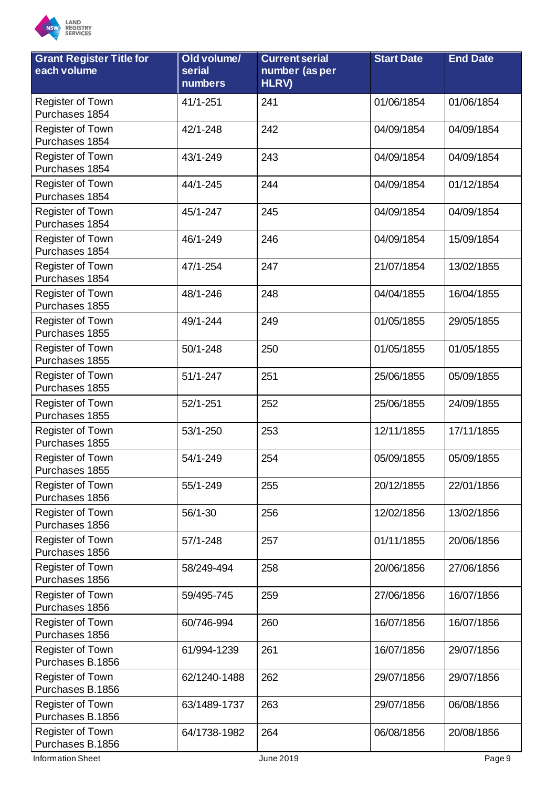

| <b>Grant Register Title for</b><br>each volume | Old volume/<br>serial<br><b>numbers</b> | <b>Current serial</b><br>number (as per<br>HLRV) | <b>Start Date</b> | <b>End Date</b> |
|------------------------------------------------|-----------------------------------------|--------------------------------------------------|-------------------|-----------------|
| Register of Town<br>Purchases 1854             | 41/1-251                                | 241                                              | 01/06/1854        | 01/06/1854      |
| Register of Town<br>Purchases 1854             | 42/1-248                                | 242                                              | 04/09/1854        | 04/09/1854      |
| Register of Town<br>Purchases 1854             | 43/1-249                                | 243                                              | 04/09/1854        | 04/09/1854      |
| Register of Town<br>Purchases 1854             | 44/1-245                                | 244                                              | 04/09/1854        | 01/12/1854      |
| Register of Town<br>Purchases 1854             | 45/1-247                                | 245                                              | 04/09/1854        | 04/09/1854      |
| Register of Town<br>Purchases 1854             | 46/1-249                                | 246                                              | 04/09/1854        | 15/09/1854      |
| Register of Town<br>Purchases 1854             | 47/1-254                                | 247                                              | 21/07/1854        | 13/02/1855      |
| Register of Town<br>Purchases 1855             | 48/1-246                                | 248                                              | 04/04/1855        | 16/04/1855      |
| Register of Town<br>Purchases 1855             | 49/1-244                                | 249                                              | 01/05/1855        | 29/05/1855      |
| Register of Town<br>Purchases 1855             | 50/1-248                                | 250                                              | 01/05/1855        | 01/05/1855      |
| Register of Town<br>Purchases 1855             | $51/1 - 247$                            | 251                                              | 25/06/1855        | 05/09/1855      |
| Register of Town<br>Purchases 1855             | 52/1-251                                | 252                                              | 25/06/1855        | 24/09/1855      |
| Register of Town<br>Purchases 1855             | 53/1-250                                | 253                                              | 12/11/1855        | 17/11/1855      |
| Register of Town<br>Purchases 1855             | 54/1-249                                | 254                                              | 05/09/1855        | 05/09/1855      |
| <b>Register of Town</b><br>Purchases 1856      | 55/1-249                                | 255                                              | 20/12/1855        | 22/01/1856      |
| Register of Town<br>Purchases 1856             | 56/1-30                                 | 256                                              | 12/02/1856        | 13/02/1856      |
| Register of Town<br>Purchases 1856             | 57/1-248                                | 257                                              | 01/11/1855        | 20/06/1856      |
| Register of Town<br>Purchases 1856             | 58/249-494                              | 258                                              | 20/06/1856        | 27/06/1856      |
| Register of Town<br>Purchases 1856             | 59/495-745                              | 259                                              | 27/06/1856        | 16/07/1856      |
| <b>Register of Town</b><br>Purchases 1856      | 60/746-994                              | 260                                              | 16/07/1856        | 16/07/1856      |
| Register of Town<br>Purchases B.1856           | 61/994-1239                             | 261                                              | 16/07/1856        | 29/07/1856      |
| Register of Town<br>Purchases B.1856           | 62/1240-1488                            | 262                                              | 29/07/1856        | 29/07/1856      |
| Register of Town<br>Purchases B.1856           | 63/1489-1737                            | 263                                              | 29/07/1856        | 06/08/1856      |
| Register of Town<br>Purchases B.1856           | 64/1738-1982                            | 264                                              | 06/08/1856        | 20/08/1856      |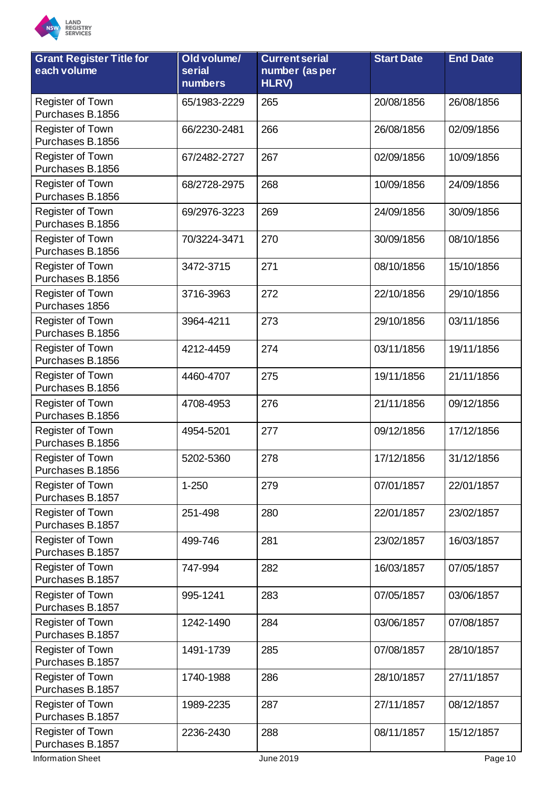

| <b>Grant Register Title for</b><br>each volume | Old volume/<br>serial<br>numbers | <b>Current serial</b><br>number (as per<br><b>HLRV)</b> | <b>Start Date</b> | <b>End Date</b> |
|------------------------------------------------|----------------------------------|---------------------------------------------------------|-------------------|-----------------|
| Register of Town<br>Purchases B.1856           | 65/1983-2229                     | 265                                                     | 20/08/1856        | 26/08/1856      |
| <b>Register of Town</b><br>Purchases B.1856    | 66/2230-2481                     | 266                                                     | 26/08/1856        | 02/09/1856      |
| Register of Town<br>Purchases B.1856           | 67/2482-2727                     | 267                                                     | 02/09/1856        | 10/09/1856      |
| <b>Register of Town</b><br>Purchases B.1856    | 68/2728-2975                     | 268                                                     | 10/09/1856        | 24/09/1856      |
| Register of Town<br>Purchases B.1856           | 69/2976-3223                     | 269                                                     | 24/09/1856        | 30/09/1856      |
| Register of Town<br>Purchases B.1856           | 70/3224-3471                     | 270                                                     | 30/09/1856        | 08/10/1856      |
| Register of Town<br>Purchases B.1856           | 3472-3715                        | 271                                                     | 08/10/1856        | 15/10/1856      |
| Register of Town<br>Purchases 1856             | 3716-3963                        | 272                                                     | 22/10/1856        | 29/10/1856      |
| Register of Town<br>Purchases B.1856           | 3964-4211                        | 273                                                     | 29/10/1856        | 03/11/1856      |
| Register of Town<br>Purchases B.1856           | 4212-4459                        | 274                                                     | 03/11/1856        | 19/11/1856      |
| <b>Register of Town</b><br>Purchases B.1856    | 4460-4707                        | 275                                                     | 19/11/1856        | 21/11/1856      |
| Register of Town<br>Purchases B.1856           | 4708-4953                        | 276                                                     | 21/11/1856        | 09/12/1856      |
| <b>Register of Town</b><br>Purchases B.1856    | 4954-5201                        | 277                                                     | 09/12/1856        | 17/12/1856      |
| Register of Town<br>Purchases B.1856           | 5202-5360                        | 278                                                     | 17/12/1856        | 31/12/1856      |
| Register of Town<br>Purchases B.1857           | $1 - 250$                        | 279                                                     | 07/01/1857        | 22/01/1857      |
| Register of Town<br>Purchases B.1857           | 251-498                          | 280                                                     | 22/01/1857        | 23/02/1857      |
| <b>Register of Town</b><br>Purchases B.1857    | 499-746                          | 281                                                     | 23/02/1857        | 16/03/1857      |
| Register of Town<br>Purchases B.1857           | 747-994                          | 282                                                     | 16/03/1857        | 07/05/1857      |
| <b>Register of Town</b><br>Purchases B.1857    | 995-1241                         | 283                                                     | 07/05/1857        | 03/06/1857      |
| Register of Town<br>Purchases B.1857           | 1242-1490                        | 284                                                     | 03/06/1857        | 07/08/1857      |
| Register of Town<br>Purchases B.1857           | 1491-1739                        | 285                                                     | 07/08/1857        | 28/10/1857      |
| Register of Town<br>Purchases B.1857           | 1740-1988                        | 286                                                     | 28/10/1857        | 27/11/1857      |
| Register of Town<br>Purchases B.1857           | 1989-2235                        | 287                                                     | 27/11/1857        | 08/12/1857      |
| Register of Town<br>Purchases B.1857           | 2236-2430                        | 288                                                     | 08/11/1857        | 15/12/1857      |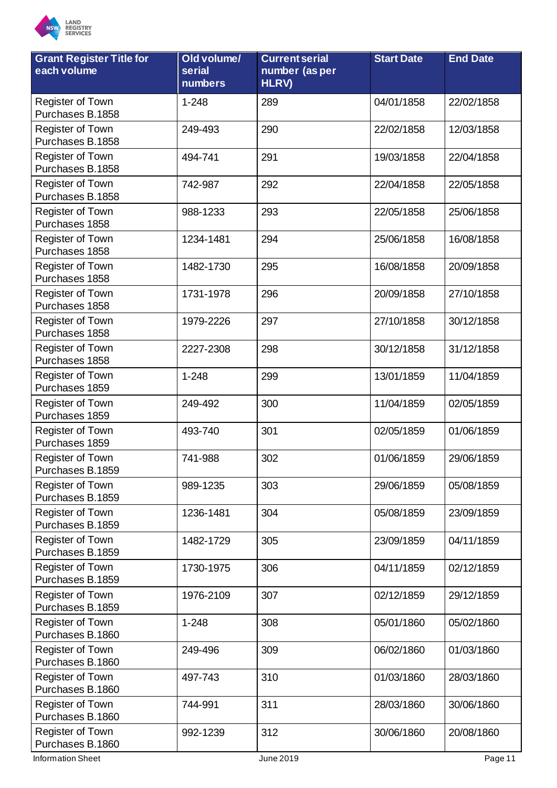

| <b>Grant Register Title for</b><br>each volume | Old volume/<br>serial<br><b>numbers</b> | <b>Current serial</b><br>number (as per<br>HLRV) | <b>Start Date</b> | <b>End Date</b> |
|------------------------------------------------|-----------------------------------------|--------------------------------------------------|-------------------|-----------------|
| Register of Town<br>Purchases B.1858           | $1 - 248$                               | 289                                              | 04/01/1858        | 22/02/1858      |
| Register of Town<br>Purchases B.1858           | 249-493                                 | 290                                              | 22/02/1858        | 12/03/1858      |
| Register of Town<br>Purchases B.1858           | 494-741                                 | 291                                              | 19/03/1858        | 22/04/1858      |
| Register of Town<br>Purchases B.1858           | 742-987                                 | 292                                              | 22/04/1858        | 22/05/1858      |
| Register of Town<br>Purchases 1858             | 988-1233                                | 293                                              | 22/05/1858        | 25/06/1858      |
| Register of Town<br>Purchases 1858             | 1234-1481                               | 294                                              | 25/06/1858        | 16/08/1858      |
| Register of Town<br>Purchases 1858             | 1482-1730                               | 295                                              | 16/08/1858        | 20/09/1858      |
| Register of Town<br>Purchases 1858             | 1731-1978                               | 296                                              | 20/09/1858        | 27/10/1858      |
| Register of Town<br>Purchases 1858             | 1979-2226                               | 297                                              | 27/10/1858        | 30/12/1858      |
| <b>Register of Town</b><br>Purchases 1858      | 2227-2308                               | 298                                              | 30/12/1858        | 31/12/1858      |
| Register of Town<br>Purchases 1859             | $1 - 248$                               | 299                                              | 13/01/1859        | 11/04/1859      |
| Register of Town<br>Purchases 1859             | 249-492                                 | 300                                              | 11/04/1859        | 02/05/1859      |
| Register of Town<br>Purchases 1859             | 493-740                                 | 301                                              | 02/05/1859        | 01/06/1859      |
| Register of Town<br>Purchases B.1859           | 741-988                                 | 302                                              | 01/06/1859        | 29/06/1859      |
| Register of Town<br>Purchases B.1859           | 989-1235                                | 303                                              | 29/06/1859        | 05/08/1859      |
| Register of Town<br>Purchases B.1859           | 1236-1481                               | 304                                              | 05/08/1859        | 23/09/1859      |
| Register of Town<br>Purchases B.1859           | 1482-1729                               | 305                                              | 23/09/1859        | 04/11/1859      |
| Register of Town<br>Purchases B.1859           | 1730-1975                               | 306                                              | 04/11/1859        | 02/12/1859      |
| Register of Town<br>Purchases B.1859           | 1976-2109                               | 307                                              | 02/12/1859        | 29/12/1859      |
| Register of Town<br>Purchases B.1860           | $1 - 248$                               | 308                                              | 05/01/1860        | 05/02/1860      |
| Register of Town<br>Purchases B.1860           | 249-496                                 | 309                                              | 06/02/1860        | 01/03/1860      |
| Register of Town<br>Purchases B.1860           | 497-743                                 | 310                                              | 01/03/1860        | 28/03/1860      |
| Register of Town<br>Purchases B.1860           | 744-991                                 | 311                                              | 28/03/1860        | 30/06/1860      |
| Register of Town<br>Purchases B.1860           | 992-1239                                | 312                                              | 30/06/1860        | 20/08/1860      |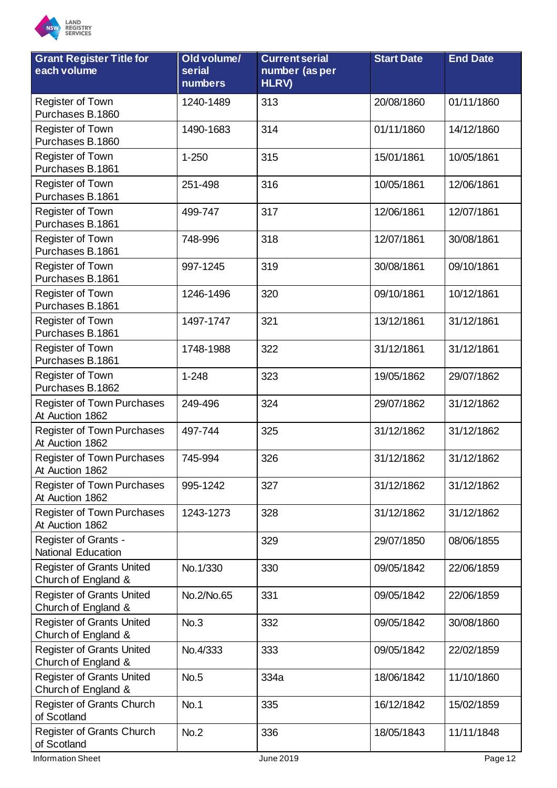

| <b>Grant Register Title for</b><br>each volume          | Old volume/<br>serial<br>numbers | <b>Current serial</b><br>number (as per<br>HLRV) | <b>Start Date</b> | <b>End Date</b> |
|---------------------------------------------------------|----------------------------------|--------------------------------------------------|-------------------|-----------------|
| Register of Town<br>Purchases B.1860                    | 1240-1489                        | 313                                              | 20/08/1860        | 01/11/1860      |
| Register of Town<br>Purchases B.1860                    | 1490-1683                        | 314                                              | 01/11/1860        | 14/12/1860      |
| Register of Town<br>Purchases B.1861                    | $1 - 250$                        | 315                                              | 15/01/1861        | 10/05/1861      |
| Register of Town<br>Purchases B.1861                    | 251-498                          | 316                                              | 10/05/1861        | 12/06/1861      |
| Register of Town<br>Purchases B.1861                    | 499-747                          | 317                                              | 12/06/1861        | 12/07/1861      |
| Register of Town<br>Purchases B.1861                    | 748-996                          | 318                                              | 12/07/1861        | 30/08/1861      |
| Register of Town<br>Purchases B.1861                    | 997-1245                         | 319                                              | 30/08/1861        | 09/10/1861      |
| Register of Town<br>Purchases B.1861                    | 1246-1496                        | 320                                              | 09/10/1861        | 10/12/1861      |
| Register of Town<br>Purchases B.1861                    | 1497-1747                        | 321                                              | 13/12/1861        | 31/12/1861      |
| Register of Town<br>Purchases B.1861                    | 1748-1988                        | 322                                              | 31/12/1861        | 31/12/1861      |
| Register of Town<br>Purchases B.1862                    | $1 - 248$                        | 323                                              | 19/05/1862        | 29/07/1862      |
| Register of Town Purchases<br>At Auction 1862           | 249-496                          | 324                                              | 29/07/1862        | 31/12/1862      |
| <b>Register of Town Purchases</b><br>At Auction 1862    | 497-744                          | 325                                              | 31/12/1862        | 31/12/1862      |
| <b>Register of Town Purchases</b><br>At Auction 1862    | 745-994                          | 326                                              | 31/12/1862        | 31/12/1862      |
| <b>Register of Town Purchases</b><br>At Auction 1862    | 995-1242                         | 327                                              | 31/12/1862        | 31/12/1862      |
| <b>Register of Town Purchases</b><br>At Auction 1862    | 1243-1273                        | 328                                              | 31/12/1862        | 31/12/1862      |
| Register of Grants -<br><b>National Education</b>       |                                  | 329                                              | 29/07/1850        | 08/06/1855      |
| <b>Register of Grants United</b><br>Church of England & | No.1/330                         | 330                                              | 09/05/1842        | 22/06/1859      |
| <b>Register of Grants United</b><br>Church of England & | No.2/No.65                       | 331                                              | 09/05/1842        | 22/06/1859      |
| <b>Register of Grants United</b><br>Church of England & | No.3                             | 332                                              | 09/05/1842        | 30/08/1860      |
| <b>Register of Grants United</b><br>Church of England & | No.4/333                         | 333                                              | 09/05/1842        | 22/02/1859      |
| <b>Register of Grants United</b><br>Church of England & | <b>No.5</b>                      | 334a                                             | 18/06/1842        | 11/10/1860      |
| Register of Grants Church<br>of Scotland                | <b>No.1</b>                      | 335                                              | 16/12/1842        | 15/02/1859      |
| Register of Grants Church<br>of Scotland                | No.2                             | 336                                              | 18/05/1843        | 11/11/1848      |

Information Sheet **Department of the COLOR** June 2019 **Page 12**